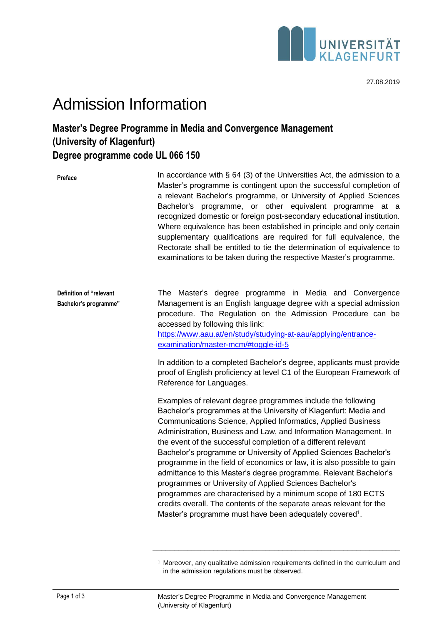

## Admission Information

## **Master's Degree Programme in Media and Convergence Management (University of Klagenfurt) Degree programme code UL 066 150**

| Preface                                          | In accordance with $\S$ 64 (3) of the Universities Act, the admission to a<br>Master's programme is contingent upon the successful completion of<br>a relevant Bachelor's programme, or University of Applied Sciences<br>Bachelor's programme, or other equivalent programme at a<br>recognized domestic or foreign post-secondary educational institution.<br>Where equivalence has been established in principle and only certain<br>supplementary qualifications are required for full equivalence, the<br>Rectorate shall be entitled to tie the determination of equivalence to<br>examinations to be taken during the respective Master's programme.                                                                                                                                                                           |
|--------------------------------------------------|---------------------------------------------------------------------------------------------------------------------------------------------------------------------------------------------------------------------------------------------------------------------------------------------------------------------------------------------------------------------------------------------------------------------------------------------------------------------------------------------------------------------------------------------------------------------------------------------------------------------------------------------------------------------------------------------------------------------------------------------------------------------------------------------------------------------------------------|
| Definition of "relevant<br>Bachelor's programme" | The Master's degree programme in Media and Convergence<br>Management is an English language degree with a special admission<br>procedure. The Regulation on the Admission Procedure can be<br>accessed by following this link:<br>https://www.aau.at/en/study/studying-at-aau/applying/entrance-<br>examination/master-mcm/#toggle-id-5<br>In addition to a completed Bachelor's degree, applicants must provide<br>proof of English proficiency at level C1 of the European Framework of<br>Reference for Languages.                                                                                                                                                                                                                                                                                                                 |
|                                                  | Examples of relevant degree programmes include the following<br>Bachelor's programmes at the University of Klagenfurt: Media and<br>Communications Science, Applied Informatics, Applied Business<br>Administration, Business and Law, and Information Management. In<br>the event of the successful completion of a different relevant<br>Bachelor's programme or University of Applied Sciences Bachelor's<br>programme in the field of economics or law, it is also possible to gain<br>admittance to this Master's degree programme. Relevant Bachelor's<br>programmes or University of Applied Sciences Bachelor's<br>programmes are characterised by a minimum scope of 180 ECTS<br>credits overall. The contents of the separate areas relevant for the<br>Master's programme must have been adequately covered <sup>1</sup> . |

\_\_\_\_\_\_\_\_\_\_\_\_\_\_\_\_\_\_\_\_\_\_\_\_\_\_\_\_\_\_\_\_\_\_\_\_\_\_\_\_\_\_\_\_\_\_\_\_\_\_\_\_\_\_\_\_\_

<sup>&</sup>lt;sup>1</sup> Moreover, any qualitative admission requirements defined in the curriculum and in the admission regulations must be observed.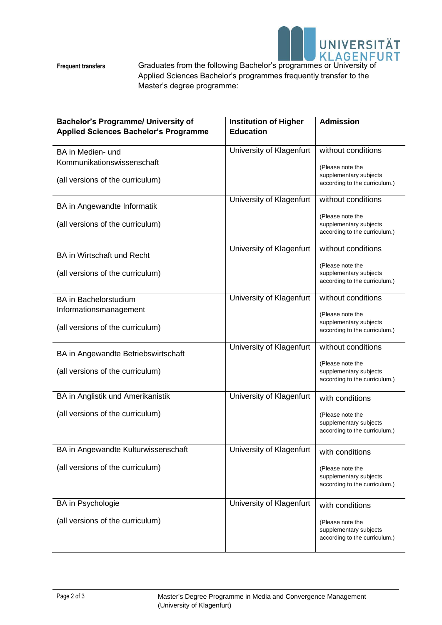

**Frequent transfers** 

Graduates from the following Bachelor's programmes or University of Applied Sciences Bachelor's programmes frequently transfer to the Master's degree programme:

| <b>Bachelor's Programme/ University of</b><br><b>Applied Sciences Bachelor's Programme</b> | <b>Institution of Higher</b><br><b>Education</b> | <b>Admission</b>                                                            |
|--------------------------------------------------------------------------------------------|--------------------------------------------------|-----------------------------------------------------------------------------|
| BA in Medien- und<br>Kommunikationswissenschaft                                            | University of Klagenfurt                         | without conditions                                                          |
| (all versions of the curriculum)                                                           |                                                  | (Please note the<br>supplementary subjects<br>according to the curriculum.) |
| BA in Angewandte Informatik                                                                | University of Klagenfurt                         | without conditions                                                          |
| (all versions of the curriculum)                                                           |                                                  | (Please note the<br>supplementary subjects<br>according to the curriculum.) |
| <b>BA</b> in Wirtschaft und Recht                                                          | University of Klagenfurt                         | without conditions                                                          |
| (all versions of the curriculum)                                                           |                                                  | (Please note the<br>supplementary subjects<br>according to the curriculum.) |
| <b>BA</b> in Bachelorstudium<br>Informationsmanagement                                     | University of Klagenfurt                         | without conditions                                                          |
| (all versions of the curriculum)                                                           |                                                  | (Please note the<br>supplementary subjects<br>according to the curriculum.) |
| BA in Angewandte Betriebswirtschaft                                                        | University of Klagenfurt                         | without conditions                                                          |
| (all versions of the curriculum)                                                           |                                                  | (Please note the<br>supplementary subjects<br>according to the curriculum.) |
| BA in Anglistik und Amerikanistik                                                          | University of Klagenfurt                         | with conditions                                                             |
| (all versions of the curriculum)                                                           |                                                  | (Please note the<br>supplementary subjects<br>according to the curriculum.) |
| BA in Angewandte Kulturwissenschaft                                                        | University of Klagenfurt                         | with conditions                                                             |
| (all versions of the curriculum)                                                           |                                                  | (Please note the<br>supplementary subjects<br>according to the curriculum.) |
| BA in Psychologie                                                                          | University of Klagenfurt                         | with conditions                                                             |
| (all versions of the curriculum)                                                           |                                                  | (Please note the<br>supplementary subjects<br>according to the curriculum.) |